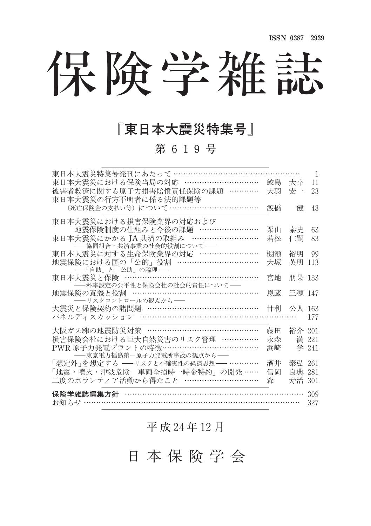保険学雑誌

## 『東日本大震災特集号』

第 619号

| 東日本大震災特集号発刊にあたって …………………………………………                   |    |           | 1     |  |
|-----------------------------------------------------|----|-----------|-------|--|
| 東日本大震災における保険当局の対応 …………………………                        | 鮫島 | 大幸        | 11    |  |
| 被害者救済に関する原子力損害賠償責任保険の課題 …………                        | 大羽 | 宏一        | 23    |  |
| 東日本大震災の行方不明者に係る法的課題等                                |    |           |       |  |
| (死亡保険金の支払い等)について …………………………………                      | 渡橋 | 侓         | 43    |  |
| 東日本大震災における損害保険業界の対応および                              |    |           |       |  |
| 地震保険制度の仕組みと今後の課題 ……………………                           | 栗山 | 泰史        | 63    |  |
| 東日本大震災にかかる JA 共済の取組み ………………………                      | 若松 | 仁嗣        | 83    |  |
| -- 協同組合・共済事業の社会的役割について-                             |    |           |       |  |
| 東日本大震災に対する生命保険業界の対応 ……………………                        | 棚瀬 | 裕明        | 99    |  |
| 地震保険における国の「公的」役割 ……………………………                        | 大塚 | 英明        | 113   |  |
| ――「自助」と「公助」の論理――<br>東日本大震災と保険 ……………………………………………………… |    |           |       |  |
| - 料率設定の公平性と保険会社の社会的責任について––                         | 宮地 | 朋果 133    |       |  |
| 地震保険の意義と役割 ……………………………………………                        |    | 恩藏 三穂 147 |       |  |
| ―― リスクコントロールの観点から――                                 |    |           |       |  |
| 大震災と保険契約の諸問題 ……………………………………                         |    | 甘利 公人 163 |       |  |
| パネルディスカッション ……………………………………………………                    |    |           | 177   |  |
| 大阪ガス㈱の地震防災対策 …………………………………………………                    | 藤田 | 裕介 201    |       |  |
| 損害保険会社における巨大自然災害のリスク管理 ……………                        | 永森 |           | 満 221 |  |
| PWR 原子力発電プラントの特徴………………………………                        | 浜崎 |           | 学 241 |  |
| -- 東京電力福島第一原子力発電所事故の観点から --                         |    |           |       |  |
| 「想定外」を想定する ––リスクと不確実性の経済思想–– …………                   | 洒井 | 泰弘 261    |       |  |
| 「地震・噴火・津波危険 車両全損時一時金特約」の開発 ……                       | 信岡 | 良典 281    |       |  |
| 二度のボランティア活動から得たこと …………………………                        | 森  | 寿治 301    |       |  |
| 保険学雑誌編集方針                                           |    |           |       |  |
| お知らせ ……………                                          |    |           |       |  |
|                                                     |    |           | 327   |  |

## 平 成 24年 12月

日 本 保 険 学 会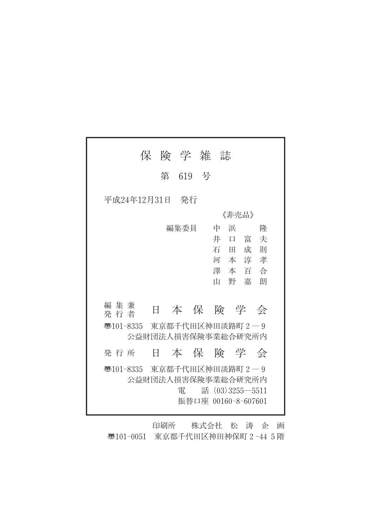|                        | 保 | 険 学 雑 誌 |  |             |                                                              |  |
|------------------------|---|---------|--|-------------|--------------------------------------------------------------|--|
|                        | 第 | 619 号   |  |             |                                                              |  |
| 平成24年12月31日            |   | - 発行    |  |             |                                                              |  |
| 《非壳品》                  |   |         |  |             |                                                              |  |
|                        |   | 編集委員    |  | 浜<br>中      | 降                                                            |  |
|                        |   |         |  | 井<br>$\Box$ | 富<br>夫                                                       |  |
|                        |   |         |  | 石田          | 成<br>一頁叶                                                     |  |
|                        |   |         |  |             | 河本淳孝                                                         |  |
|                        |   |         |  |             | 澤本百合                                                         |  |
|                        |   |         |  | 野幕<br>Ш     | 朗                                                            |  |
|                        |   |         |  |             |                                                              |  |
| 編 集 兼<br>発 行 者         | Ħ |         |  |             | 本保険学会                                                        |  |
| $\overline{3}101-8335$ |   |         |  |             | 東京都千代田区神田淡路町 2-9<br>公益財団法人損害保険事業総合研究所内                       |  |
|                        |   |         |  |             |                                                              |  |
| 発 行 所                  | H |         |  |             | 本保険学会                                                        |  |
| ক্ত101-8335            |   | 電       |  |             | 東京都千代田区神田淡路町 2-9<br>公益財団法人損害保険事業総合研究所内<br>話 (03) 3255 - 5511 |  |
|                        |   |         |  |             | 振替口座 00160-8-607601                                          |  |

印刷所 株式会社 松 涛 企 画 〠101-0051 東京都千代田区神田神保町2-445階